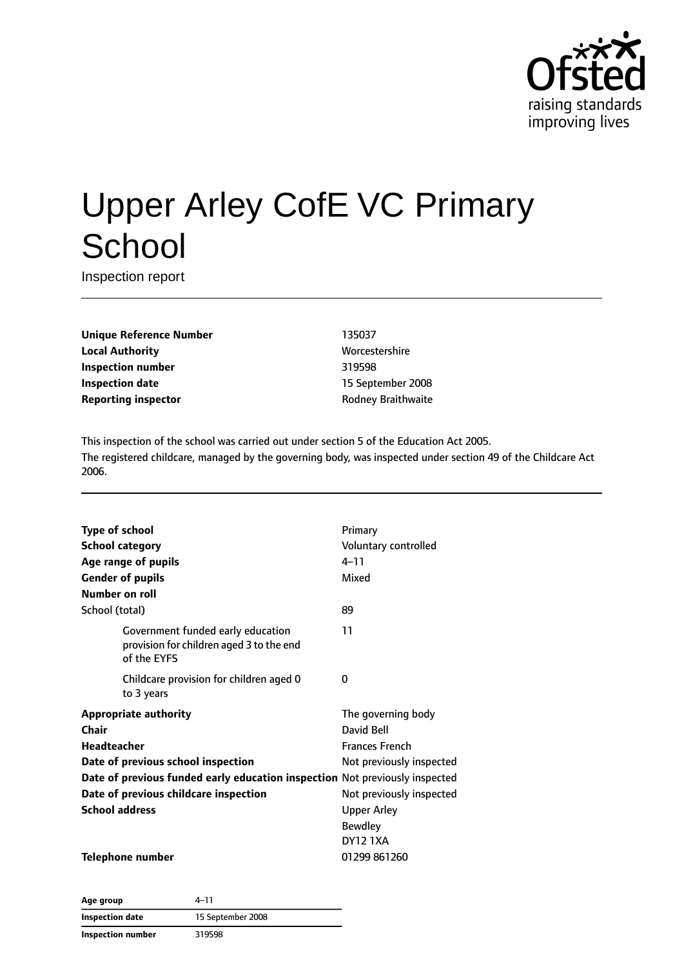

# Upper Arley CofE VC Primary **School**

Inspection report

**Unique Reference Number** 135037 **Local Authority More** Worcestershire **Inspection number** 319598 **Inspection date** 15 September 2008 **Reporting inspector and a structure Rodney Braithwaite** 

This inspection of the school was carried out under section 5 of the Education Act 2005. The registered childcare, managed by the governing body, was inspected under section 49 of the Childcare Act 2006.

| <b>Type of school</b>                                                       |                                                                                              | Primary                  |
|-----------------------------------------------------------------------------|----------------------------------------------------------------------------------------------|--------------------------|
| <b>School category</b>                                                      |                                                                                              | Voluntary controlled     |
|                                                                             | Age range of pupils                                                                          | $4 - 11$                 |
|                                                                             | <b>Gender of pupils</b>                                                                      | Mixed                    |
| Number on roll                                                              |                                                                                              |                          |
| School (total)                                                              |                                                                                              | 89                       |
|                                                                             | Government funded early education<br>provision for children aged 3 to the end<br>of the EYFS | 11                       |
|                                                                             | Childcare provision for children aged 0<br>to 3 years                                        | $\Omega$                 |
|                                                                             | <b>Appropriate authority</b>                                                                 | The governing body       |
| Chair                                                                       |                                                                                              | David Bell               |
| <b>Headteacher</b>                                                          |                                                                                              | <b>Frances French</b>    |
| Date of previous school inspection                                          |                                                                                              | Not previously inspected |
| Date of previous funded early education inspection Not previously inspected |                                                                                              |                          |
| Date of previous childcare inspection                                       |                                                                                              | Not previously inspected |
| <b>School address</b>                                                       |                                                                                              | <b>Upper Arley</b>       |
|                                                                             |                                                                                              | <b>Bewdley</b>           |
|                                                                             |                                                                                              | <b>DY12 1XA</b>          |
|                                                                             | <b>Telephone number</b>                                                                      | 01299 861260             |

**Age group** 4–11 **Inspection date** 15 September 2008 **Inspection number** 319598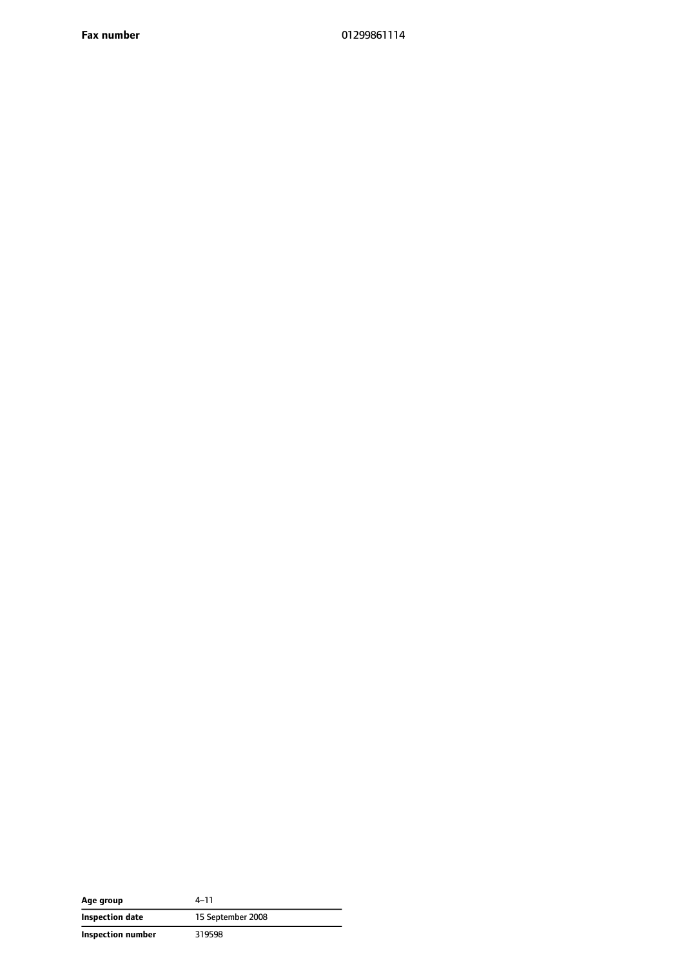**Fax number** 01299861114

| Age group         | 4–11              |
|-------------------|-------------------|
| Inspection date   | 15 September 2008 |
| Inspection number | 319598            |

 $\overline{\phantom{a}}$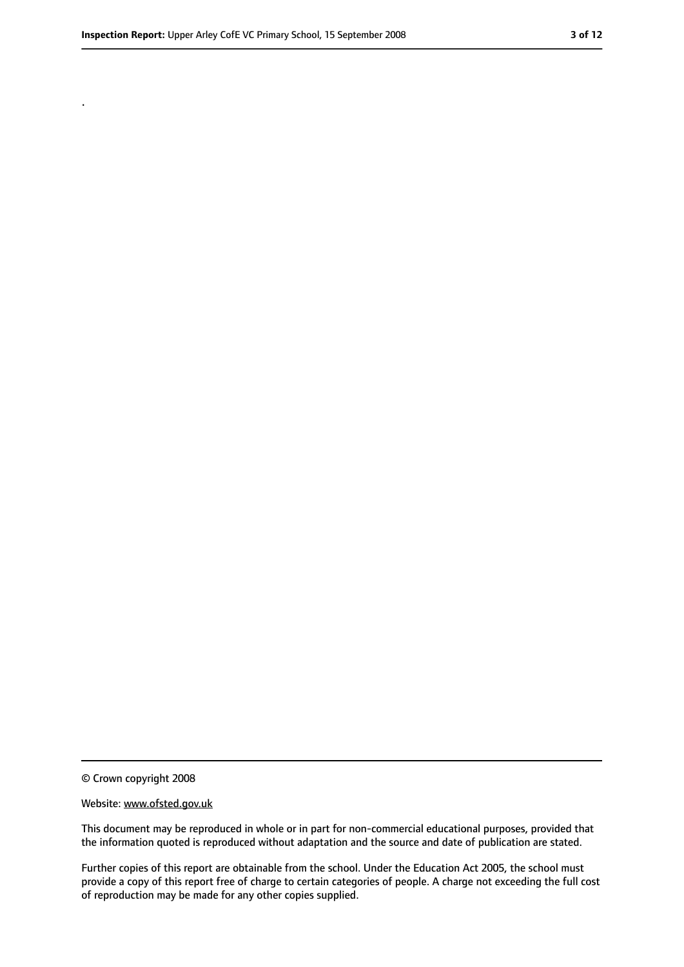.

<sup>©</sup> Crown copyright 2008

Website: www.ofsted.gov.uk

This document may be reproduced in whole or in part for non-commercial educational purposes, provided that the information quoted is reproduced without adaptation and the source and date of publication are stated.

Further copies of this report are obtainable from the school. Under the Education Act 2005, the school must provide a copy of this report free of charge to certain categories of people. A charge not exceeding the full cost of reproduction may be made for any other copies supplied.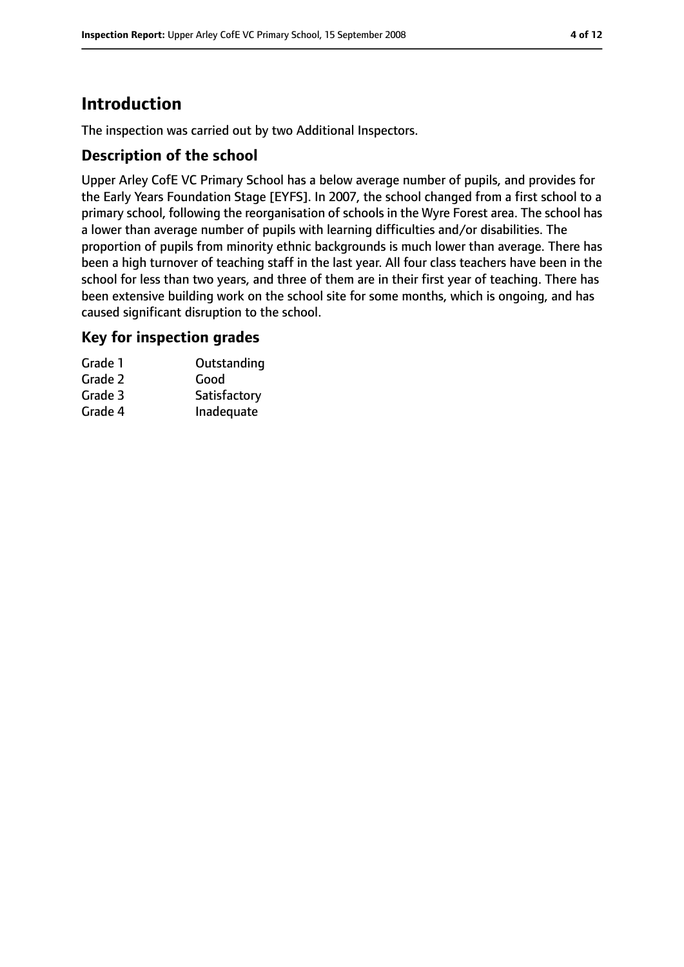# **Introduction**

The inspection was carried out by two Additional Inspectors.

## **Description of the school**

Upper Arley CofE VC Primary School has a below average number of pupils, and provides for the Early Years Foundation Stage [EYFS]. In 2007, the school changed from a first school to a primary school, following the reorganisation of schools in the Wyre Forest area. The school has a lower than average number of pupils with learning difficulties and/or disabilities. The proportion of pupils from minority ethnic backgrounds is much lower than average. There has been a high turnover of teaching staff in the last year. All four class teachers have been in the school for less than two years, and three of them are in their first year of teaching. There has been extensive building work on the school site for some months, which is ongoing, and has caused significant disruption to the school.

## **Key for inspection grades**

| Outstanding  |
|--------------|
|              |
| Satisfactory |
| Inadequate   |
|              |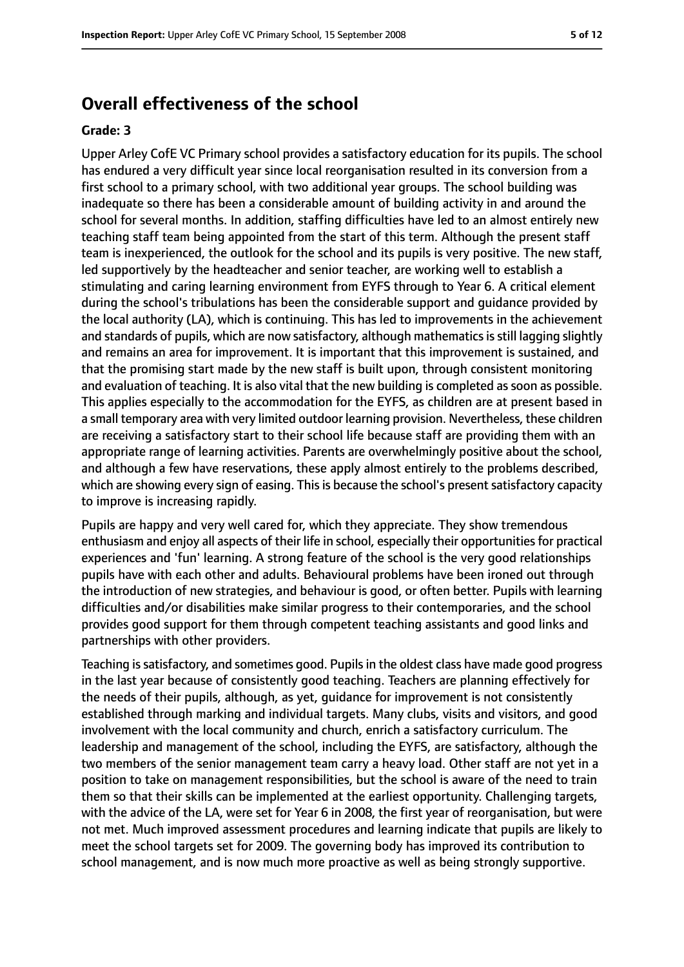# **Overall effectiveness of the school**

#### **Grade: 3**

Upper Arley CofE VC Primary school provides a satisfactory education for its pupils. The school has endured a very difficult year since local reorganisation resulted in its conversion from a first school to a primary school, with two additional year groups. The school building was inadequate so there has been a considerable amount of building activity in and around the school for several months. In addition, staffing difficulties have led to an almost entirely new teaching staff team being appointed from the start of this term. Although the present staff team is inexperienced, the outlook for the school and its pupils is very positive. The new staff, led supportively by the headteacher and senior teacher, are working well to establish a stimulating and caring learning environment from EYFS through to Year 6. A critical element during the school's tribulations has been the considerable support and guidance provided by the local authority (LA), which is continuing. This has led to improvements in the achievement and standards of pupils, which are now satisfactory, although mathematics is still lagging slightly and remains an area for improvement. It is important that this improvement is sustained, and that the promising start made by the new staff is built upon, through consistent monitoring and evaluation of teaching. It is also vital that the new building is completed assoon as possible. This applies especially to the accommodation for the EYFS, as children are at present based in a small temporary area with very limited outdoor learning provision. Nevertheless, these children are receiving a satisfactory start to their school life because staff are providing them with an appropriate range of learning activities. Parents are overwhelmingly positive about the school, and although a few have reservations, these apply almost entirely to the problems described, which are showing every sign of easing. This is because the school's present satisfactory capacity to improve is increasing rapidly.

Pupils are happy and very well cared for, which they appreciate. They show tremendous enthusiasm and enjoy all aspects of their life in school, especially their opportunities for practical experiences and 'fun' learning. A strong feature of the school is the very good relationships pupils have with each other and adults. Behavioural problems have been ironed out through the introduction of new strategies, and behaviour is good, or often better. Pupils with learning difficulties and/or disabilities make similar progress to their contemporaries, and the school provides good support for them through competent teaching assistants and good links and partnerships with other providers.

Teaching issatisfactory, and sometimes good. Pupilsin the oldest class have made good progress in the last year because of consistently good teaching. Teachers are planning effectively for the needs of their pupils, although, as yet, guidance for improvement is not consistently established through marking and individual targets. Many clubs, visits and visitors, and good involvement with the local community and church, enrich a satisfactory curriculum. The leadership and management of the school, including the EYFS, are satisfactory, although the two members of the senior management team carry a heavy load. Other staff are not yet in a position to take on management responsibilities, but the school is aware of the need to train them so that their skills can be implemented at the earliest opportunity. Challenging targets, with the advice of the LA, were set for Year 6 in 2008, the first year of reorganisation, but were not met. Much improved assessment procedures and learning indicate that pupils are likely to meet the school targets set for 2009. The governing body has improved its contribution to school management, and is now much more proactive as well as being strongly supportive.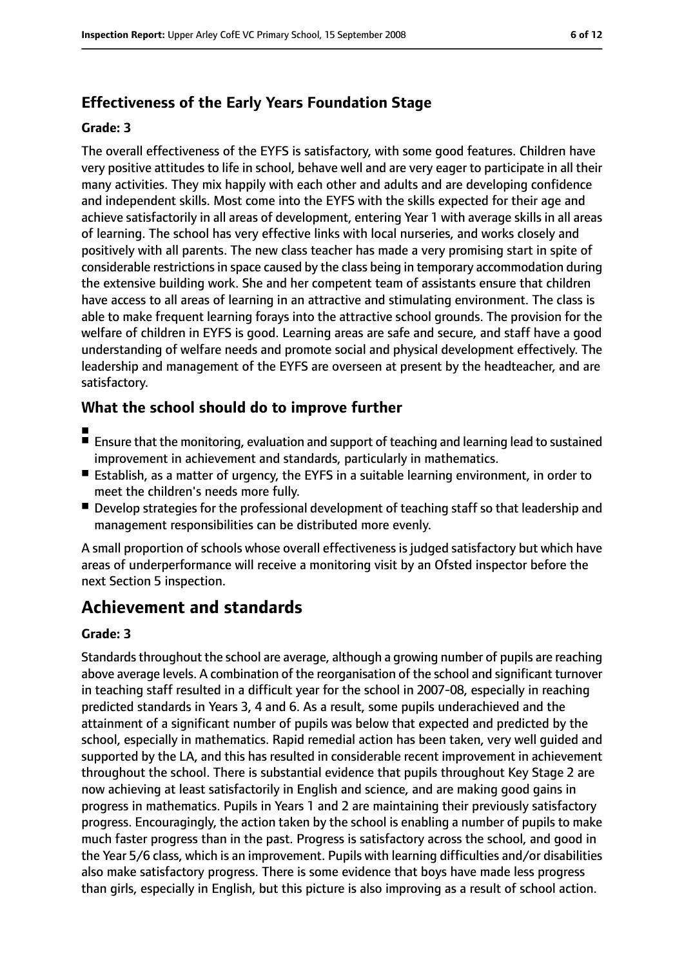# **Effectiveness of the Early Years Foundation Stage**

#### **Grade: 3**

The overall effectiveness of the EYFS is satisfactory, with some good features. Children have very positive attitudes to life in school, behave well and are very eager to participate in all their many activities. They mix happily with each other and adults and are developing confidence and independent skills. Most come into the EYFS with the skills expected for their age and achieve satisfactorily in all areas of development, entering Year 1 with average skills in all areas of learning. The school has very effective links with local nurseries, and works closely and positively with all parents. The new class teacher has made a very promising start in spite of considerable restrictions in space caused by the class being in temporary accommodation during the extensive building work. She and her competent team of assistants ensure that children have access to all areas of learning in an attractive and stimulating environment. The class is able to make frequent learning forays into the attractive school grounds. The provision for the welfare of children in EYFS is good. Learning areas are safe and secure, and staff have a good understanding of welfare needs and promote social and physical development effectively. The leadership and management of the EYFS are overseen at present by the headteacher, and are satisfactory.

## **What the school should do to improve further**

- ■
- Ensure that the monitoring, evaluation and support of teaching and learning lead to sustained improvement in achievement and standards, particularly in mathematics.
- Establish, as a matter of urgency, the EYFS in a suitable learning environment, in order to meet the children's needs more fully.
- Develop strategies for the professional development of teaching staff so that leadership and management responsibilities can be distributed more evenly.

A small proportion of schools whose overall effectiveness is judged satisfactory but which have areas of underperformance will receive a monitoring visit by an Ofsted inspector before the next Section 5 inspection.

# **Achievement and standards**

#### **Grade: 3**

Standards throughout the school are average, although a growing number of pupils are reaching above average levels. A combination of the reorganisation of the school and significant turnover in teaching staff resulted in a difficult year for the school in 2007-08, especially in reaching predicted standards in Years 3, 4 and 6. As a result, some pupils underachieved and the attainment of a significant number of pupils was below that expected and predicted by the school, especially in mathematics. Rapid remedial action has been taken, very well guided and supported by the LA, and this has resulted in considerable recent improvement in achievement throughout the school. There is substantial evidence that pupils throughout Key Stage 2 are now achieving at least satisfactorily in English and science, and are making good gains in progress in mathematics. Pupils in Years 1 and 2 are maintaining their previously satisfactory progress. Encouragingly, the action taken by the school is enabling a number of pupils to make much faster progress than in the past. Progress is satisfactory across the school, and good in the Year 5/6 class, which is an improvement. Pupils with learning difficulties and/or disabilities also make satisfactory progress. There is some evidence that boys have made less progress than girls, especially in English, but this picture is also improving as a result of school action.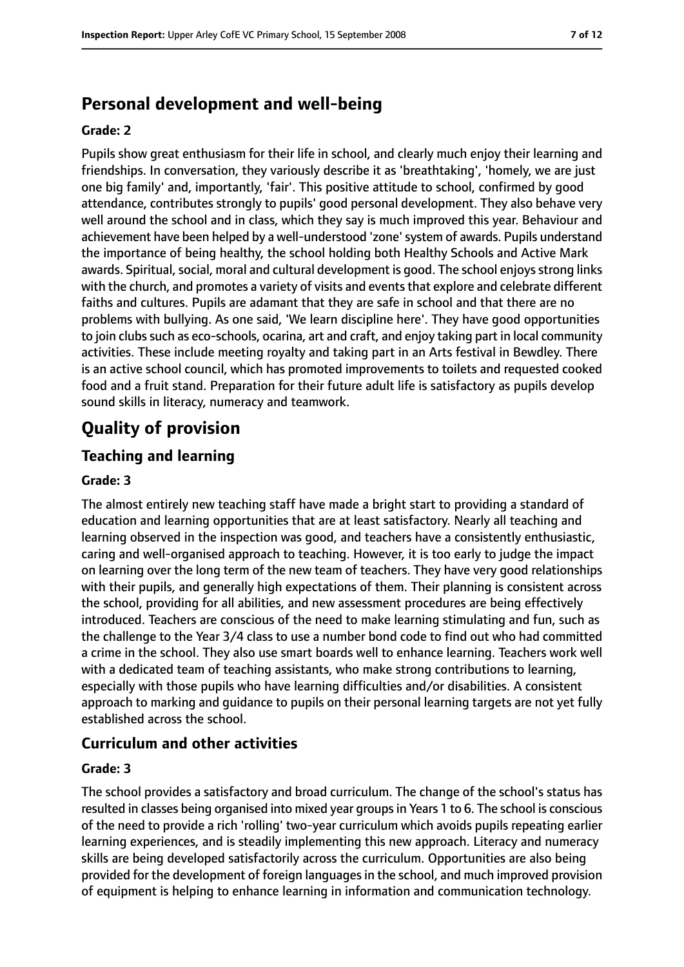# **Personal development and well-being**

#### **Grade: 2**

Pupils show great enthusiasm for their life in school, and clearly much enjoy their learning and friendships. In conversation, they variously describe it as 'breathtaking', 'homely, we are just one big family' and, importantly, 'fair'. This positive attitude to school, confirmed by good attendance, contributes strongly to pupils' good personal development. They also behave very well around the school and in class, which they say is much improved this year. Behaviour and achievement have been helped by a well-understood 'zone'system of awards. Pupils understand the importance of being healthy, the school holding both Healthy Schools and Active Mark awards. Spiritual, social, moral and cultural development is good. The school enjoys strong links with the church, and promotes a variety of visits and eventsthat explore and celebrate different faiths and cultures. Pupils are adamant that they are safe in school and that there are no problems with bullying. As one said, 'We learn discipline here'. They have good opportunities to join clubs such as eco-schools, ocarina, art and craft, and enjoy taking part in local community activities. These include meeting royalty and taking part in an Arts festival in Bewdley. There is an active school council, which has promoted improvements to toilets and requested cooked food and a fruit stand. Preparation for their future adult life is satisfactory as pupils develop sound skills in literacy, numeracy and teamwork.

# **Quality of provision**

# **Teaching and learning**

#### **Grade: 3**

The almost entirely new teaching staff have made a bright start to providing a standard of education and learning opportunities that are at least satisfactory. Nearly all teaching and learning observed in the inspection was good, and teachers have a consistently enthusiastic, caring and well-organised approach to teaching. However, it is too early to judge the impact on learning over the long term of the new team of teachers. They have very good relationships with their pupils, and generally high expectations of them. Their planning is consistent across the school, providing for all abilities, and new assessment procedures are being effectively introduced. Teachers are conscious of the need to make learning stimulating and fun, such as the challenge to the Year 3/4 class to use a number bond code to find out who had committed a crime in the school. They also use smart boards well to enhance learning. Teachers work well with a dedicated team of teaching assistants, who make strong contributions to learning, especially with those pupils who have learning difficulties and/or disabilities. A consistent approach to marking and guidance to pupils on their personal learning targets are not yet fully established across the school.

## **Curriculum and other activities**

#### **Grade: 3**

The school provides a satisfactory and broad curriculum. The change of the school's status has resulted in classes being organised into mixed year groupsin Years 1 to 6. The school is conscious of the need to provide a rich 'rolling' two-year curriculum which avoids pupils repeating earlier learning experiences, and is steadily implementing this new approach. Literacy and numeracy skills are being developed satisfactorily across the curriculum. Opportunities are also being provided for the development of foreign languages in the school, and much improved provision of equipment is helping to enhance learning in information and communication technology.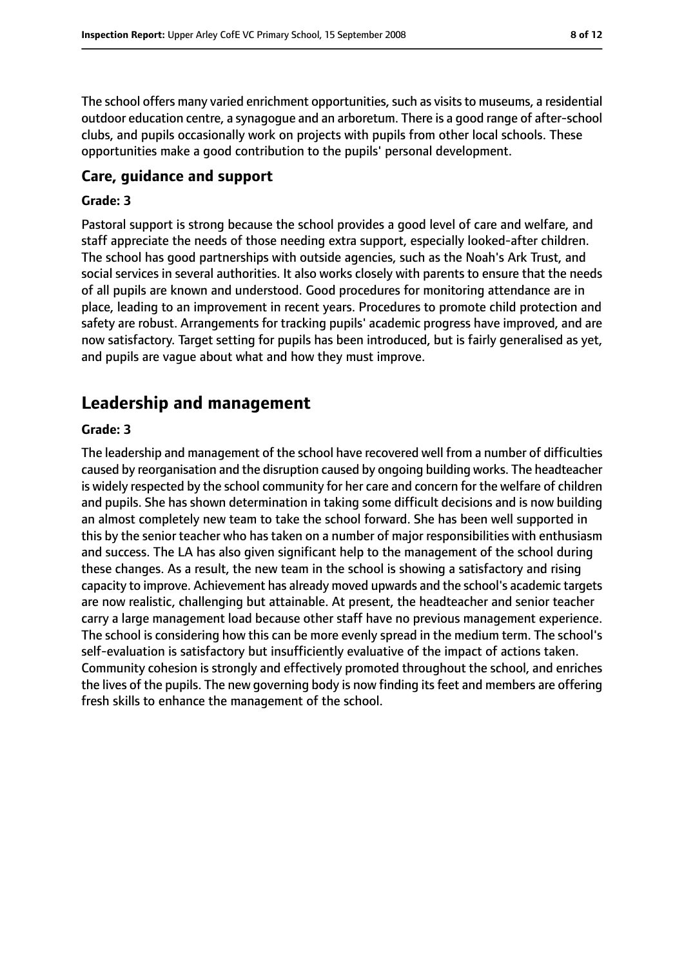The school offers many varied enrichment opportunities, such as visits to museums, a residential outdoor education centre, a synagogue and an arboretum. There is a good range of after-school clubs, and pupils occasionally work on projects with pupils from other local schools. These opportunities make a good contribution to the pupils' personal development.

#### **Care, guidance and support**

#### **Grade: 3**

Pastoral support is strong because the school provides a good level of care and welfare, and staff appreciate the needs of those needing extra support, especially looked-after children. The school has good partnerships with outside agencies, such as the Noah's Ark Trust, and social services in several authorities. It also works closely with parents to ensure that the needs of all pupils are known and understood. Good procedures for monitoring attendance are in place, leading to an improvement in recent years. Procedures to promote child protection and safety are robust. Arrangements for tracking pupils' academic progress have improved, and are now satisfactory. Target setting for pupils has been introduced, but is fairly generalised as yet, and pupils are vague about what and how they must improve.

# **Leadership and management**

#### **Grade: 3**

The leadership and management of the school have recovered well from a number of difficulties caused by reorganisation and the disruption caused by ongoing building works. The headteacher is widely respected by the school community for her care and concern for the welfare of children and pupils. She has shown determination in taking some difficult decisions and is now building an almost completely new team to take the school forward. She has been well supported in this by the senior teacher who has taken on a number of major responsibilities with enthusiasm and success. The LA has also given significant help to the management of the school during these changes. As a result, the new team in the school is showing a satisfactory and rising capacity to improve. Achievement has already moved upwards and the school's academic targets are now realistic, challenging but attainable. At present, the headteacher and senior teacher carry a large management load because other staff have no previous management experience. The school is considering how this can be more evenly spread in the medium term. The school's self-evaluation is satisfactory but insufficiently evaluative of the impact of actions taken. Community cohesion is strongly and effectively promoted throughout the school, and enriches the lives of the pupils. The new governing body is now finding its feet and members are offering fresh skills to enhance the management of the school.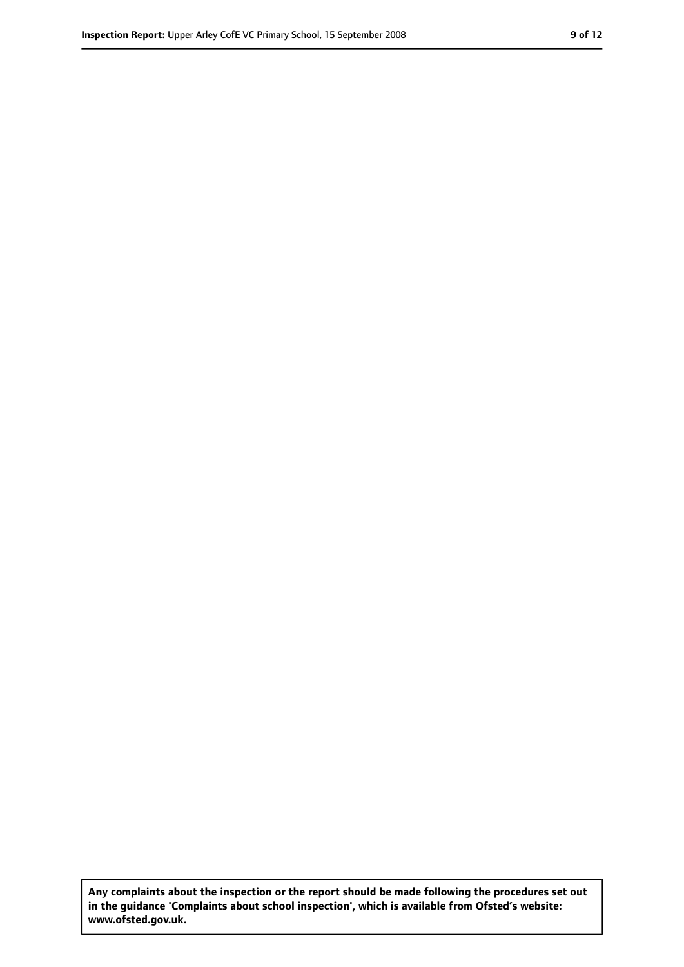**Any complaints about the inspection or the report should be made following the procedures set out in the guidance 'Complaints about school inspection', which is available from Ofsted's website: www.ofsted.gov.uk.**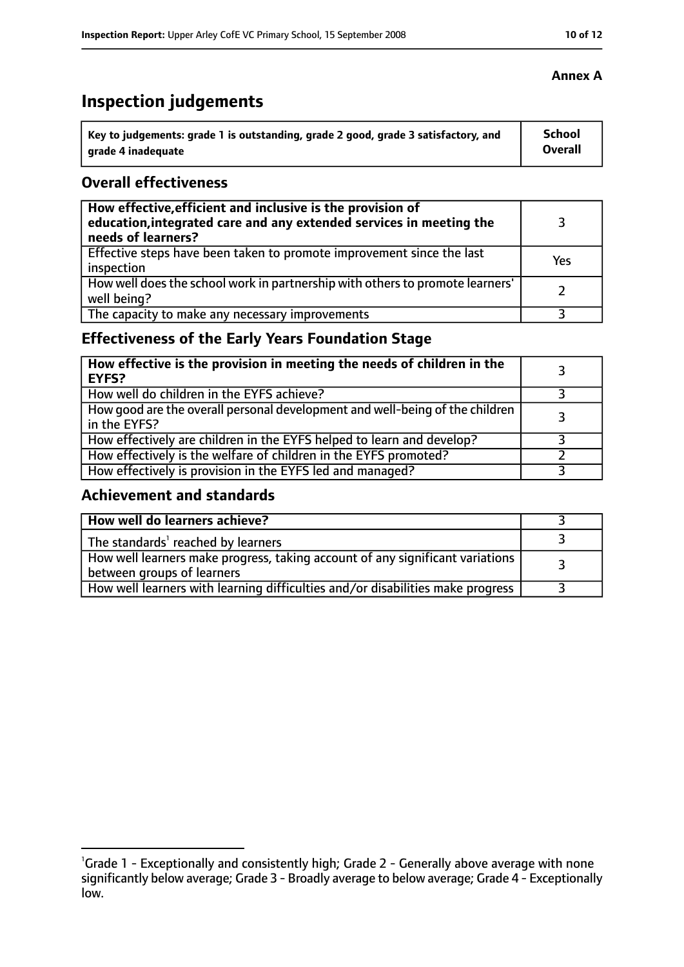# **Inspection judgements**

| Key to judgements: grade 1 is outstanding, grade 2 good, grade 3 satisfactory, and | <b>School</b> |
|------------------------------------------------------------------------------------|---------------|
| arade 4 inadequate                                                                 | Overall       |

## **Overall effectiveness**

| How effective, efficient and inclusive is the provision of<br>education, integrated care and any extended services in meeting the<br>needs of learners? |     |
|---------------------------------------------------------------------------------------------------------------------------------------------------------|-----|
| Effective steps have been taken to promote improvement since the last<br>inspection                                                                     | Yes |
| How well does the school work in partnership with others to promote learners'<br>well being?                                                            |     |
| The capacity to make any necessary improvements                                                                                                         |     |

# **Effectiveness of the Early Years Foundation Stage**

| How effective is the provision in meeting the needs of children in the<br><b>EYFS?</b>       |  |
|----------------------------------------------------------------------------------------------|--|
| How well do children in the EYFS achieve?                                                    |  |
| How good are the overall personal development and well-being of the children<br>in the EYFS? |  |
| How effectively are children in the EYFS helped to learn and develop?                        |  |
| How effectively is the welfare of children in the EYFS promoted?                             |  |
| How effectively is provision in the EYFS led and managed?                                    |  |

# **Achievement and standards**

| How well do learners achieve?                                                                               |  |
|-------------------------------------------------------------------------------------------------------------|--|
| The standards <sup>1</sup> reached by learners                                                              |  |
| How well learners make progress, taking account of any significant variations<br>between groups of learners |  |
| How well learners with learning difficulties and/or disabilities make progress                              |  |

## **Annex A**

<sup>&</sup>lt;sup>1</sup>Grade 1 - Exceptionally and consistently high; Grade 2 - Generally above average with none significantly below average; Grade 3 - Broadly average to below average; Grade 4 - Exceptionally low.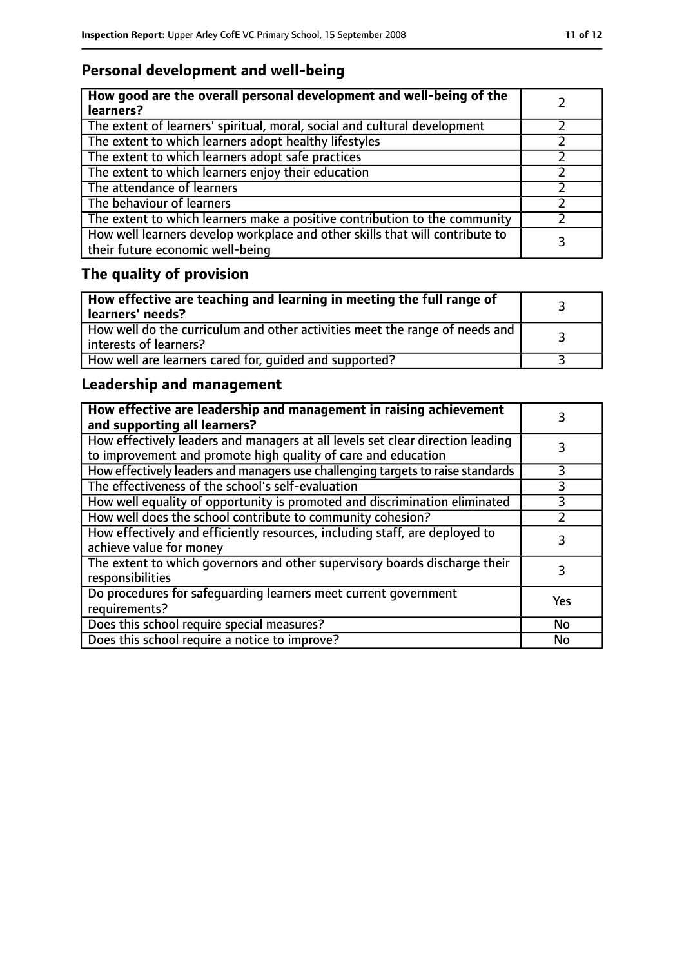# **Personal development and well-being**

| How good are the overall personal development and well-being of the<br>learners?                                 |  |
|------------------------------------------------------------------------------------------------------------------|--|
| The extent of learners' spiritual, moral, social and cultural development                                        |  |
| The extent to which learners adopt healthy lifestyles                                                            |  |
| The extent to which learners adopt safe practices                                                                |  |
| The extent to which learners enjoy their education                                                               |  |
| The attendance of learners                                                                                       |  |
| The behaviour of learners                                                                                        |  |
| The extent to which learners make a positive contribution to the community                                       |  |
| How well learners develop workplace and other skills that will contribute to<br>their future economic well-being |  |

# **The quality of provision**

| $\mid$ How effective are teaching and learning in meeting the full range of<br>  learners' needs?       |  |
|---------------------------------------------------------------------------------------------------------|--|
| How well do the curriculum and other activities meet the range of needs and<br>  interests of learners? |  |
| How well are learners cared for, quided and supported?                                                  |  |

# **Leadership and management**

| How effective are leadership and management in raising achievement<br>and supporting all learners?                                              |     |
|-------------------------------------------------------------------------------------------------------------------------------------------------|-----|
| How effectively leaders and managers at all levels set clear direction leading<br>to improvement and promote high quality of care and education |     |
| How effectively leaders and managers use challenging targets to raise standards                                                                 |     |
| The effectiveness of the school's self-evaluation                                                                                               | 3   |
| How well equality of opportunity is promoted and discrimination eliminated                                                                      | 3   |
| How well does the school contribute to community cohesion?                                                                                      |     |
| How effectively and efficiently resources, including staff, are deployed to<br>achieve value for money                                          | 3   |
| The extent to which governors and other supervisory boards discharge their<br>responsibilities                                                  |     |
| Do procedures for safequarding learners meet current government<br>requirements?                                                                | Yes |
| Does this school require special measures?                                                                                                      | No  |
| Does this school require a notice to improve?                                                                                                   | No  |